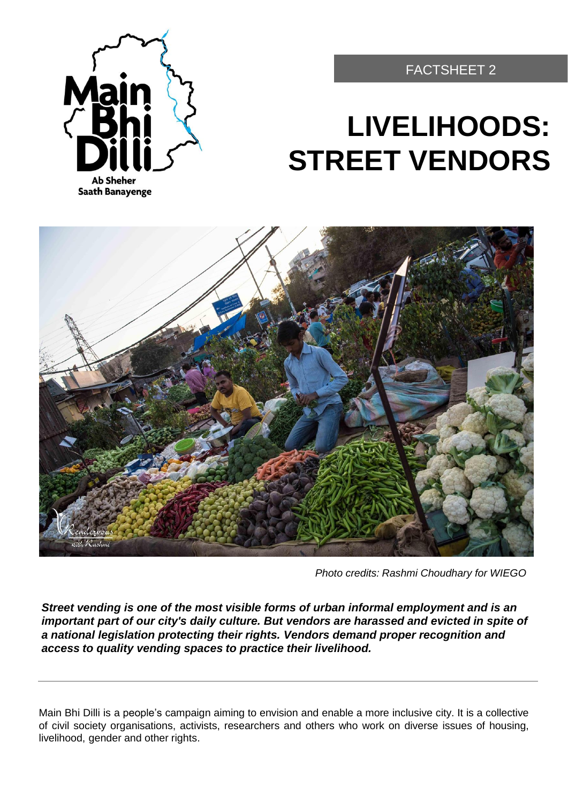

#### FACTSHEET 2

# **LIVELIHOODS: STREET VENDORS**



*Photo credits: Rashmi Choudhary for WIEGO*

*Street vending is one of the most visible forms of urban informal employment and is an important part of our city's daily culture. But vendors are harassed and evicted in spite of a national legislation protecting their rights. Vendors demand proper recognition and access to quality vending spaces to practice their livelihood.*

Main Bhi Dilli is a people's campaign aiming to envision and enable a more inclusive city. It is a collective of civil society organisations, activists, researchers and others who work on diverse issues of housing, livelihood, gender and other rights.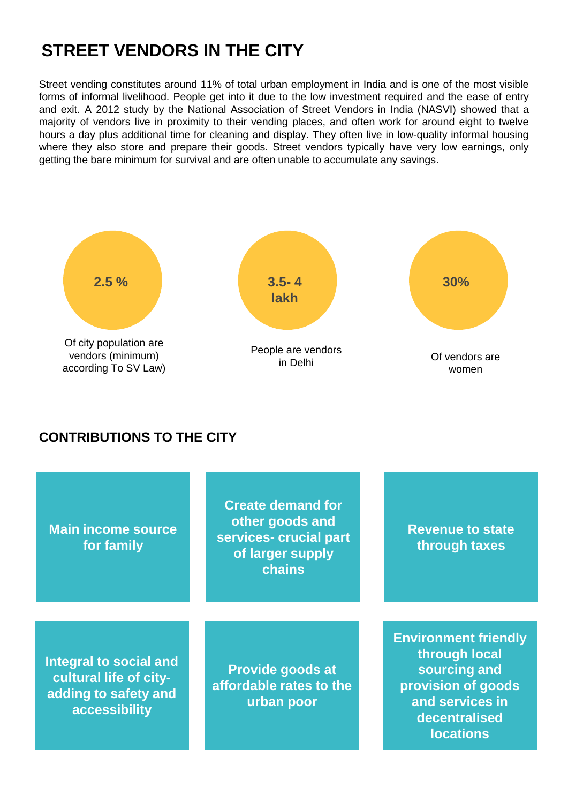# **STREET VENDORS IN THE CITY**

Street vending constitutes around 11% of total urban employment in India and is one of the most visible forms of informal livelihood. People get into it due to the low investment required and the ease of entry and exit. A 2012 study by the National Association of Street Vendors in India (NASVI) showed that a majority of vendors live in proximity to their vending places, and often work for around eight to twelve hours a day plus additional time for cleaning and display. They often live in low-quality informal housing where they also store and prepare their goods. Street vendors typically have very low earnings, only getting the bare minimum for survival and are often unable to accumulate any savings.



#### **CONTRIBUTIONS TO THE CITY**

| <b>Main income source</b><br>for family                                                   | <b>Create demand for</b><br>other goods and<br>services- crucial part<br>of larger supply<br>chains | <b>Revenue to state</b><br>through taxes                                                                                                   |
|-------------------------------------------------------------------------------------------|-----------------------------------------------------------------------------------------------------|--------------------------------------------------------------------------------------------------------------------------------------------|
| Integral to social and<br>cultural life of city-<br>adding to safety and<br>accessibility | <b>Provide goods at</b><br>affordable rates to the<br>urban poor                                    | <b>Environment friendly</b><br>through local<br>sourcing and<br>provision of goods<br>and services in<br>decentralised<br><b>locations</b> |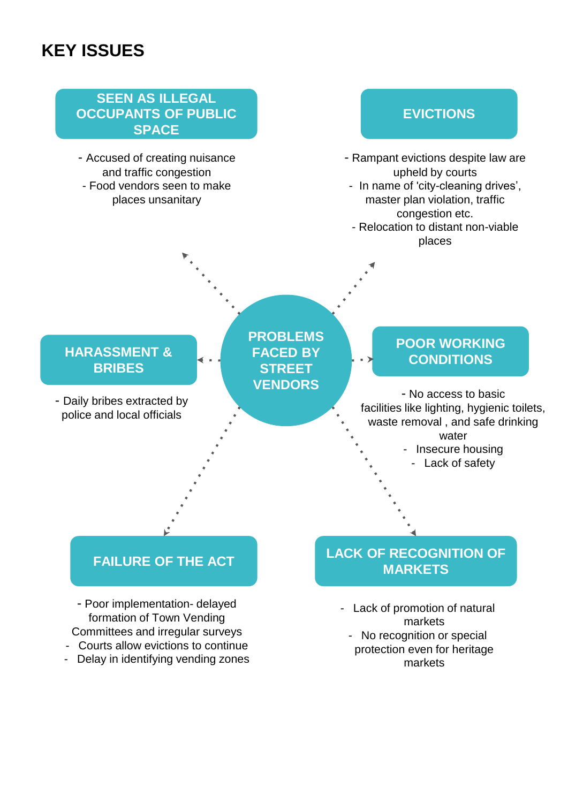# **KEY ISSUES**



markets

- Delay in identifying vending zones
-